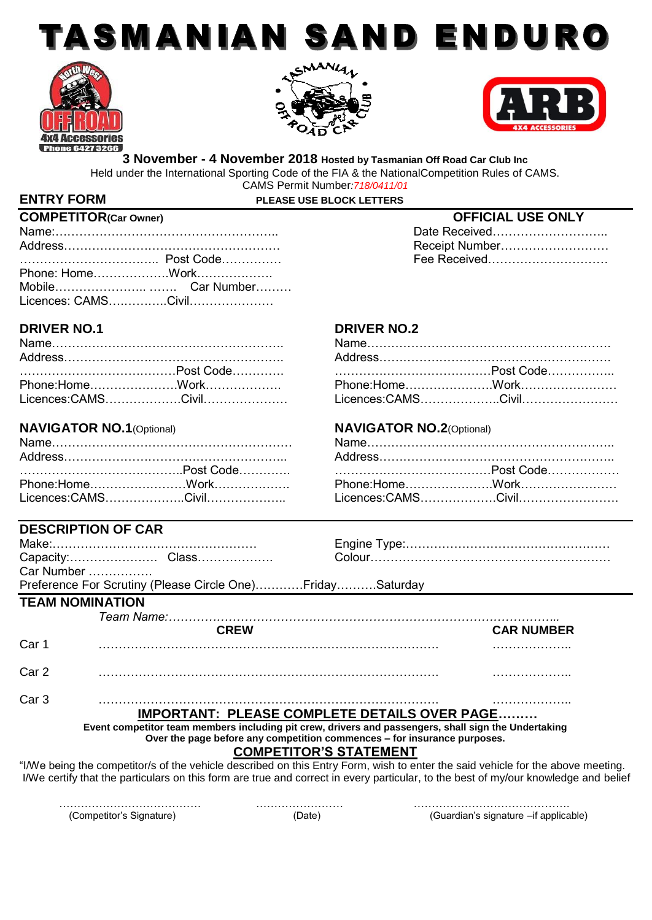







Date Received………………………… Receipt Number……………………… Fee Received………………………

**3 November - 4 November 2018 Hosted by Tasmanian Off Road Car Club Inc** Held under the International Sporting Code of the FIA & the NationalCompetition Rules of CAMS. CAMS Permit Number*:718/0411/01*

# **ENTRY FORM PLEASE USE BLOCK LETTERS**

| <b>COMPETITOR(Car Owner)</b> |  | <b>OFFICIAL USE ONLY</b> |  |
|------------------------------|--|--------------------------|--|
|                              |  | Date Received            |  |
|                              |  | Receipt Number           |  |
|                              |  | Fee Received             |  |
|                              |  |                          |  |
|                              |  |                          |  |
|                              |  |                          |  |

**DESCRIPTION OF CAR**

# **DRIVER NO.1 DRIVER NO.2**

| …………………………………Post Code……………    ……………………………………Post Code……………… |  |  |
|--------------------------------------------------------------|--|--|
|                                                              |  |  |
| Licences:CAMS…………………Civil…………………                             |  |  |

## **NAVIGATOR NO.1**(Optional) **NAVIGATOR NO.2**(Optional)

|  | ……………………………………Post Code……………    ……………………………………Post Code……………… |  |  |  |
|--|---------------------------------------------------------------|--|--|--|
|  |                                                               |  |  |  |
|  | Licences:CAMS…………………Civil…………………                              |  |  |  |

|                  | DEJUNIF HUIN UF UAN                                                                                                                 |                                                                          |                   |
|------------------|-------------------------------------------------------------------------------------------------------------------------------------|--------------------------------------------------------------------------|-------------------|
|                  |                                                                                                                                     |                                                                          |                   |
|                  |                                                                                                                                     |                                                                          |                   |
|                  | Car Number                                                                                                                          |                                                                          |                   |
|                  | Preference For Scrutiny (Please Circle One)FridaySaturday                                                                           |                                                                          |                   |
|                  | <b>TEAM NOMINATION</b>                                                                                                              |                                                                          |                   |
|                  |                                                                                                                                     |                                                                          |                   |
|                  | <b>CREW</b>                                                                                                                         |                                                                          | <b>CAR NUMBER</b> |
| Car 1            |                                                                                                                                     |                                                                          |                   |
|                  |                                                                                                                                     |                                                                          |                   |
| Car <sub>2</sub> |                                                                                                                                     |                                                                          |                   |
| Car <sub>3</sub> |                                                                                                                                     |                                                                          |                   |
|                  |                                                                                                                                     | <b>IMPORTANT: PLEASE COMPLETE DETAILS OVER PAGE</b>                      |                   |
|                  | Event competitor team members including pit crew, drivers and passengers, shall sign the Undertaking                                | Over the page before any competition commences - for insurance purposes. |                   |
|                  |                                                                                                                                     | <b>COMPETITOR'S STATEMENT</b>                                            |                   |
|                  | "I/We being the competitor/s of the vehicle described on this Entry Form, wish to enter the said vehicle for the above meeting.     |                                                                          |                   |
|                  | I/We certify that the particulars on this form are true and correct in every particular, to the best of my/our knowledge and belief |                                                                          |                   |

………………………………… …………………… …………………………………….

(Competitor's Signature) (Date) (Guardian's signature –if applicable)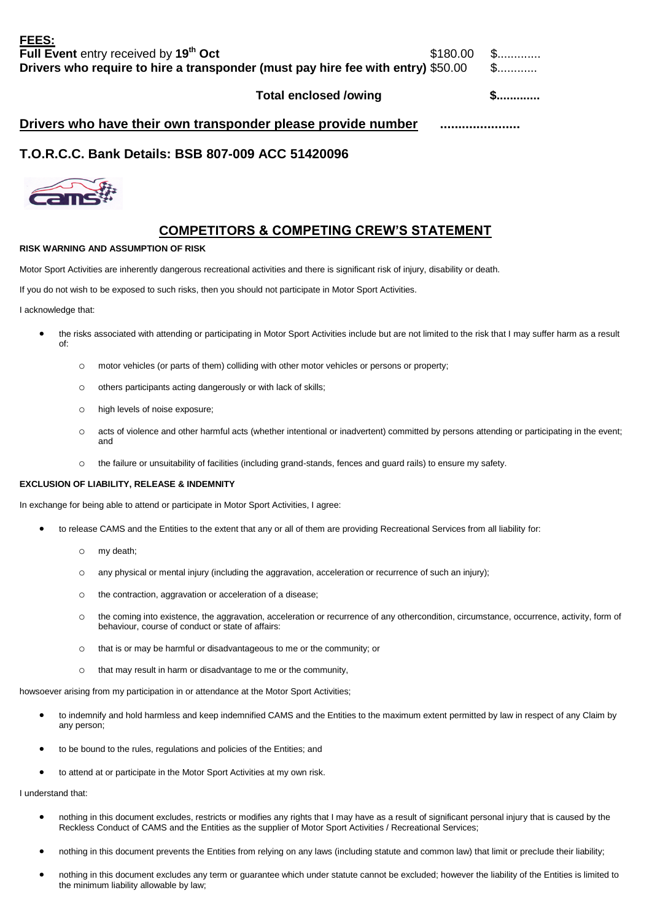Total enclosed /owing **\$.............** 

| Drivers who have their own transponder please provide number |
|--------------------------------------------------------------|
|--------------------------------------------------------------|

# **T.O.R.C.C. Bank Details: BSB 807-009 ACC 51420096**



# **COMPETITORS & COMPETING CREW'S STATEMENT**

## **RISK WARNING AND ASSUMPTION OF RISK**

Motor Sport Activities are inherently dangerous recreational activities and there is significant risk of injury, disability or death.

If you do not wish to be exposed to such risks, then you should not participate in Motor Sport Activities.

I acknowledge that:

- the risks associated with attending or participating in Motor Sport Activities include but are not limited to the risk that I may suffer harm as a result of:
	- o motor vehicles (or parts of them) colliding with other motor vehicles or persons or property;
	- o others participants acting dangerously or with lack of skills;
	- o high levels of noise exposure;
	- o acts of violence and other harmful acts (whether intentional or inadvertent) committed by persons attending or participating in the event; and
	- o the failure or unsuitability of facilities (including grand-stands, fences and guard rails) to ensure my safety.

## **EXCLUSION OF LIABILITY, RELEASE & INDEMNITY**

In exchange for being able to attend or participate in Motor Sport Activities, I agree:

- to release CAMS and the Entities to the extent that any or all of them are providing Recreational Services from all liability for:
	- o my death;
	- o any physical or mental injury (including the aggravation, acceleration or recurrence of such an injury);
	- o the contraction, aggravation or acceleration of a disease;
	- o the coming into existence, the aggravation, acceleration or recurrence of any othercondition, circumstance, occurrence, activity, form of behaviour, course of conduct or state of affairs:
	- o that is or may be harmful or disadvantageous to me or the community; or
	- o that may result in harm or disadvantage to me or the community,

howsoever arising from my participation in or attendance at the Motor Sport Activities;

- to indemnify and hold harmless and keep indemnified CAMS and the Entities to the maximum extent permitted by law in respect of any Claim by any person;
- to be bound to the rules, regulations and policies of the Entities; and
- to attend at or participate in the Motor Sport Activities at my own risk.

I understand that:

- nothing in this document excludes, restricts or modifies any rights that I may have as a result of significant personal injury that is caused by the Reckless Conduct of CAMS and the Entities as the supplier of Motor Sport Activities / Recreational Services;
- nothing in this document prevents the Entities from relying on any laws (including statute and common law) that limit or preclude their liability;
- nothing in this document excludes any term or guarantee which under statute cannot be excluded; however the liability of the Entities is limited to the minimum liability allowable by law;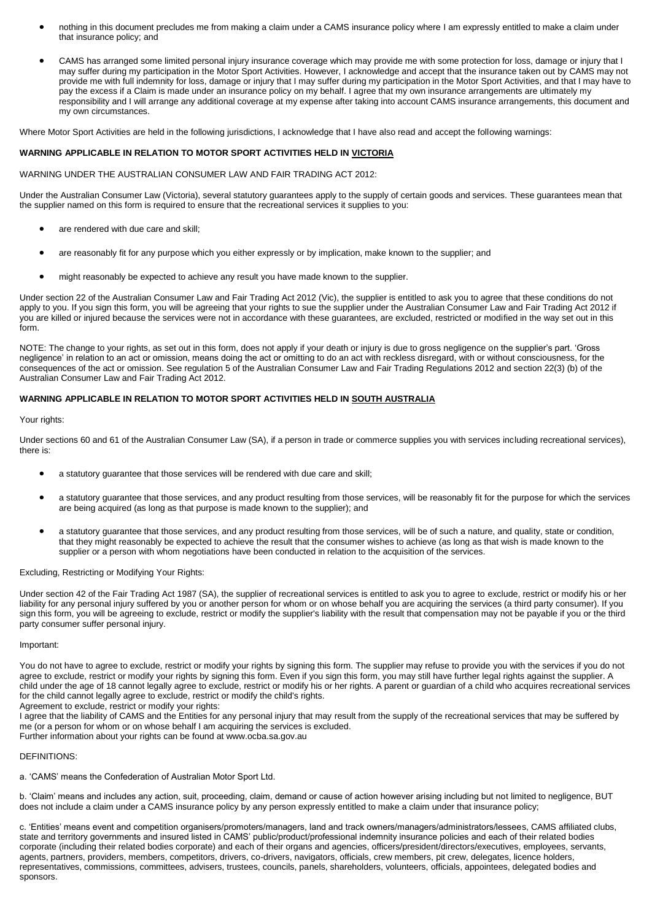- nothing in this document precludes me from making a claim under a CAMS insurance policy where I am expressly entitled to make a claim under that insurance policy; and
- CAMS has arranged some limited personal injury insurance coverage which may provide me with some protection for loss, damage or injury that I may suffer during my participation in the Motor Sport Activities. However, I acknowledge and accept that the insurance taken out by CAMS may not provide me with full indemnity for loss, damage or injury that I may suffer during my participation in the Motor Sport Activities, and that I may have to pay the excess if a Claim is made under an insurance policy on my behalf. I agree that my own insurance arrangements are ultimately my responsibility and I will arrange any additional coverage at my expense after taking into account CAMS insurance arrangements, this document and my own circumstances.

Where Motor Sport Activities are held in the following jurisdictions, I acknowledge that I have also read and accept the following warnings:

## **WARNING APPLICABLE IN RELATION TO MOTOR SPORT ACTIVITIES HELD IN VICTORIA**

WARNING UNDER THE AUSTRALIAN CONSUMER LAW AND FAIR TRADING ACT 2012:

Under the Australian Consumer Law (Victoria), several statutory guarantees apply to the supply of certain goods and services. These guarantees mean that the supplier named on this form is required to ensure that the recreational services it supplies to you:

- are rendered with due care and skill:
- are reasonably fit for any purpose which you either expressly or by implication, make known to the supplier; and
- might reasonably be expected to achieve any result you have made known to the supplier.

Under section 22 of the Australian Consumer Law and Fair Trading Act 2012 (Vic), the supplier is entitled to ask you to agree that these conditions do not apply to you. If you sign this form, you will be agreeing that your rights to sue the supplier under the Australian Consumer Law and Fair Trading Act 2012 if you are killed or injured because the services were not in accordance with these guarantees, are excluded, restricted or modified in the way set out in this form.

NOTE: The change to your rights, as set out in this form, does not apply if your death or injury is due to gross negligence on the supplier's part. 'Gross negligence' in relation to an act or omission, means doing the act or omitting to do an act with reckless disregard, with or without consciousness, for the consequences of the act or omission. See regulation 5 of the Australian Consumer Law and Fair Trading Regulations 2012 and section 22(3) (b) of the Australian Consumer Law and Fair Trading Act 2012.

## **WARNING APPLICABLE IN RELATION TO MOTOR SPORT ACTIVITIES HELD IN SOUTH AUSTRALIA**

### Your rights:

Under sections 60 and 61 of the Australian Consumer Law (SA), if a person in trade or commerce supplies you with services including recreational services), there is:

- a statutory guarantee that those services will be rendered with due care and skill;
- a statutory guarantee that those services, and any product resulting from those services, will be reasonably fit for the purpose for which the services are being acquired (as long as that purpose is made known to the supplier); and
- a statutory guarantee that those services, and any product resulting from those services, will be of such a nature, and quality, state or condition, that they might reasonably be expected to achieve the result that the consumer wishes to achieve (as long as that wish is made known to the supplier or a person with whom negotiations have been conducted in relation to the acquisition of the services.

### Excluding, Restricting or Modifying Your Rights:

Under section 42 of the Fair Trading Act 1987 (SA), the supplier of recreational services is entitled to ask you to agree to exclude, restrict or modify his or her liability for any personal injury suffered by you or another person for whom or on whose behalf you are acquiring the services (a third party consumer). If you sign this form, you will be agreeing to exclude, restrict or modify the supplier's liability with the result that compensation may not be payable if you or the third party consumer suffer personal injury.

### Important:

You do not have to agree to exclude, restrict or modify your rights by signing this form. The supplier may refuse to provide you with the services if you do not agree to exclude, restrict or modify your rights by signing this form. Even if you sign this form, you may still have further legal rights against the supplier. A child under the age of 18 cannot legally agree to exclude, restrict or modify his or her rights. A parent or guardian of a child who acquires recreational services for the child cannot legally agree to exclude, restrict or modify the child's rights.

Agreement to exclude, restrict or modify your rights:

I agree that the liability of CAMS and the Entities for any personal injury that may result from the supply of the recreational services that may be suffered by me (or a person for whom or on whose behalf I am acquiring the services is excluded.

Further information about your rights can be found at www.ocba.sa.gov.au

### DEFINITIONS:

a. 'CAMS' means the Confederation of Australian Motor Sport Ltd.

b. 'Claim' means and includes any action, suit, proceeding, claim, demand or cause of action however arising including but not limited to negligence, BUT does not include a claim under a CAMS insurance policy by any person expressly entitled to make a claim under that insurance policy;

c. 'Entities' means event and competition organisers/promoters/managers, land and track owners/managers/administrators/lessees, CAMS affiliated clubs, state and territory governments and insured listed in CAMS' public/product/professional indemnity insurance policies and each of their related bodies corporate (including their related bodies corporate) and each of their organs and agencies, officers/president/directors/executives, employees, servants, agents, partners, providers, members, competitors, drivers, co-drivers, navigators, officials, crew members, pit crew, delegates, licence holders, representatives, commissions, committees, advisers, trustees, councils, panels, shareholders, volunteers, officials, appointees, delegated bodies and sponsors.